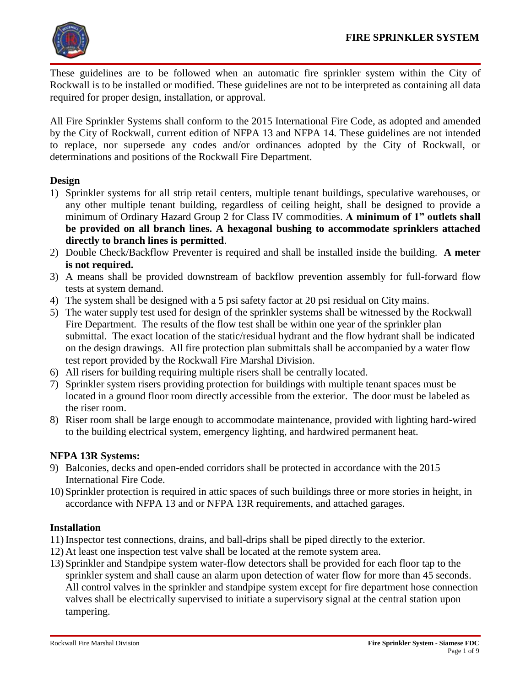

These guidelines are to be followed when an automatic fire sprinkler system within the City of Rockwall is to be installed or modified. These guidelines are not to be interpreted as containing all data required for proper design, installation, or approval.

All Fire Sprinkler Systems shall conform to the 2015 International Fire Code, as adopted and amended by the City of Rockwall, current edition of NFPA 13 and NFPA 14. These guidelines are not intended to replace, nor supersede any codes and/or ordinances adopted by the City of Rockwall, or determinations and positions of the Rockwall Fire Department.

### **Design**

- 1) Sprinkler systems for all strip retail centers, multiple tenant buildings, speculative warehouses, or any other multiple tenant building, regardless of ceiling height, shall be designed to provide a minimum of Ordinary Hazard Group 2 for Class IV commodities. **A minimum of 1" outlets shall be provided on all branch lines. A hexagonal bushing to accommodate sprinklers attached directly to branch lines is permitted**.
- 2) Double Check/Backflow Preventer is required and shall be installed inside the building. **A meter is not required.**
- 3) A means shall be provided downstream of backflow prevention assembly for full-forward flow tests at system demand.
- 4) The system shall be designed with a 5 psi safety factor at 20 psi residual on City mains.
- 5) The water supply test used for design of the sprinkler systems shall be witnessed by the Rockwall Fire Department. The results of the flow test shall be within one year of the sprinkler plan submittal. The exact location of the static/residual hydrant and the flow hydrant shall be indicated on the design drawings. All fire protection plan submittals shall be accompanied by a water flow test report provided by the Rockwall Fire Marshal Division.
- 6) All risers for building requiring multiple risers shall be centrally located.
- 7) Sprinkler system risers providing protection for buildings with multiple tenant spaces must be located in a ground floor room directly accessible from the exterior. The door must be labeled as the riser room.
- 8) Riser room shall be large enough to accommodate maintenance, provided with lighting hard-wired to the building electrical system, emergency lighting, and hardwired permanent heat.

### **NFPA 13R Systems:**

- 9) Balconies, decks and open-ended corridors shall be protected in accordance with the 2015 International Fire Code.
- 10) Sprinkler protection is required in attic spaces of such buildings three or more stories in height, in accordance with NFPA 13 and or NFPA 13R requirements, and attached garages.

### **Installation**

- 11) Inspector test connections, drains, and ball-drips shall be piped directly to the exterior.
- 12) At least one inspection test valve shall be located at the remote system area.
- 13) Sprinkler and Standpipe system water-flow detectors shall be provided for each floor tap to the sprinkler system and shall cause an alarm upon detection of water flow for more than 45 seconds. All control valves in the sprinkler and standpipe system except for fire department hose connection valves shall be electrically supervised to initiate a supervisory signal at the central station upon tampering.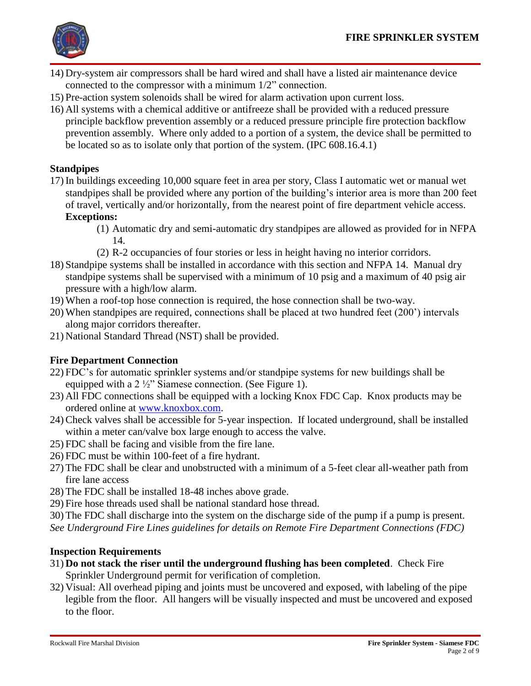

- 14) Dry-system air compressors shall be hard wired and shall have a listed air maintenance device connected to the compressor with a minimum 1/2" connection.
- 15) Pre-action system solenoids shall be wired for alarm activation upon current loss.
- 16) All systems with a chemical additive or antifreeze shall be provided with a reduced pressure principle backflow prevention assembly or a reduced pressure principle fire protection backflow prevention assembly. Where only added to a portion of a system, the device shall be permitted to be located so as to isolate only that portion of the system. (IPC 608.16.4.1)

## **Standpipes**

- 17) In buildings exceeding 10,000 square feet in area per story, Class I automatic wet or manual wet standpipes shall be provided where any portion of the building's interior area is more than 200 feet of travel, vertically and/or horizontally, from the nearest point of fire department vehicle access. **Exceptions:**
	- (1) Automatic dry and semi-automatic dry standpipes are allowed as provided for in NFPA 14.
	- (2) R-2 occupancies of four stories or less in height having no interior corridors.
- 18) Standpipe systems shall be installed in accordance with this section and NFPA 14. Manual dry standpipe systems shall be supervised with a minimum of 10 psig and a maximum of 40 psig air pressure with a high/low alarm.
- 19) When a roof-top hose connection is required, the hose connection shall be two-way.
- 20) When standpipes are required, connections shall be placed at two hundred feet (200') intervals along major corridors thereafter.
- 21) National Standard Thread (NST) shall be provided.

## **Fire Department Connection**

- 22) FDC's for automatic sprinkler systems and/or standpipe systems for new buildings shall be equipped with a 2 ½" Siamese connection. (See Figure 1).
- 23) All FDC connections shall be equipped with a locking Knox FDC Cap. Knox products may be ordered online at [www.knoxbox.com.](http://www.knoxbox.com/)
- 24) Check valves shall be accessible for 5-year inspection. If located underground, shall be installed within a meter can/valve box large enough to access the valve.
- 25) FDC shall be facing and visible from the fire lane.
- 26) FDC must be within 100-feet of a fire hydrant.
- 27) The FDC shall be clear and unobstructed with a minimum of a 5-feet clear all-weather path from fire lane access
- 28) The FDC shall be installed 18-48 inches above grade.
- 29) Fire hose threads used shall be national standard hose thread.
- 30) The FDC shall discharge into the system on the discharge side of the pump if a pump is present.
- *See Underground Fire Lines guidelines for details on Remote Fire Department Connections (FDC)*

## **Inspection Requirements**

- 31) **Do not stack the riser until the underground flushing has been completed**. Check Fire Sprinkler Underground permit for verification of completion.
- 32) Visual: All overhead piping and joints must be uncovered and exposed, with labeling of the pipe legible from the floor. All hangers will be visually inspected and must be uncovered and exposed to the floor.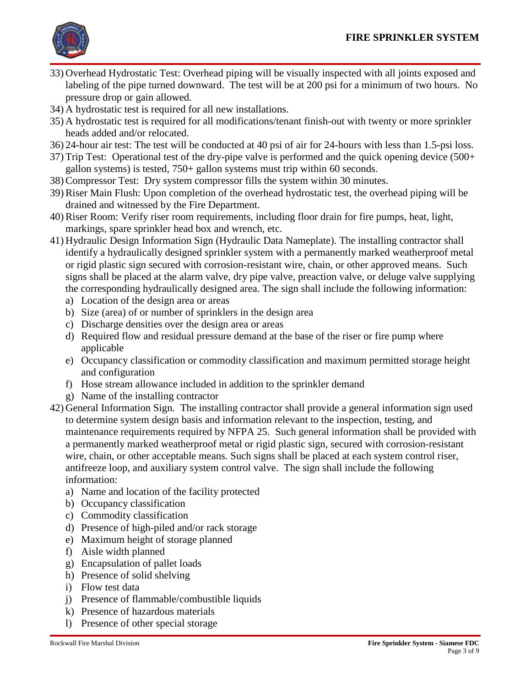

- 33) Overhead Hydrostatic Test: Overhead piping will be visually inspected with all joints exposed and labeling of the pipe turned downward. The test will be at 200 psi for a minimum of two hours. No pressure drop or gain allowed.
- 34) A hydrostatic test is required for all new installations.
- 35) A hydrostatic test is required for all modifications/tenant finish-out with twenty or more sprinkler heads added and/or relocated.
- 36) 24-hour air test: The test will be conducted at 40 psi of air for 24-hours with less than 1.5-psi loss.
- 37) Trip Test: Operational test of the dry-pipe valve is performed and the quick opening device (500+ gallon systems) is tested, 750+ gallon systems must trip within 60 seconds.
- 38) Compressor Test: Dry system compressor fills the system within 30 minutes.
- 39) Riser Main Flush: Upon completion of the overhead hydrostatic test, the overhead piping will be drained and witnessed by the Fire Department.
- 40) Riser Room: Verify riser room requirements, including floor drain for fire pumps, heat, light, markings, spare sprinkler head box and wrench, etc.
- 41) Hydraulic Design Information Sign (Hydraulic Data Nameplate). The installing contractor shall identify a hydraulically designed sprinkler system with a permanently marked weatherproof metal or rigid plastic sign secured with corrosion-resistant wire, chain, or other approved means. Such signs shall be placed at the alarm valve, dry pipe valve, preaction valve, or deluge valve supplying the corresponding hydraulically designed area. The sign shall include the following information:
	- a) Location of the design area or areas
	- b) Size (area) of or number of sprinklers in the design area
	- c) Discharge densities over the design area or areas
	- d) Required flow and residual pressure demand at the base of the riser or fire pump where applicable
	- e) Occupancy classification or commodity classification and maximum permitted storage height and configuration
	- f) Hose stream allowance included in addition to the sprinkler demand
	- g) Name of the installing contractor
- 42) General Information Sign. The installing contractor shall provide a general information sign used to determine system design basis and information relevant to the inspection, testing, and maintenance requirements required by NFPA 25. Such general information shall be provided with a permanently marked weatherproof metal or rigid plastic sign, secured with corrosion-resistant wire, chain, or other acceptable means. Such signs shall be placed at each system control riser, antifreeze loop, and auxiliary system control valve. The sign shall include the following information:
	- a) Name and location of the facility protected
	- b) Occupancy classification
	- c) Commodity classification
	- d) Presence of high-piled and/or rack storage
	- e) Maximum height of storage planned
	- f) Aisle width planned
	- g) Encapsulation of pallet loads
	- h) Presence of solid shelving
	- i) Flow test data
	- j) Presence of flammable/combustible liquids
	- k) Presence of hazardous materials
	- l) Presence of other special storage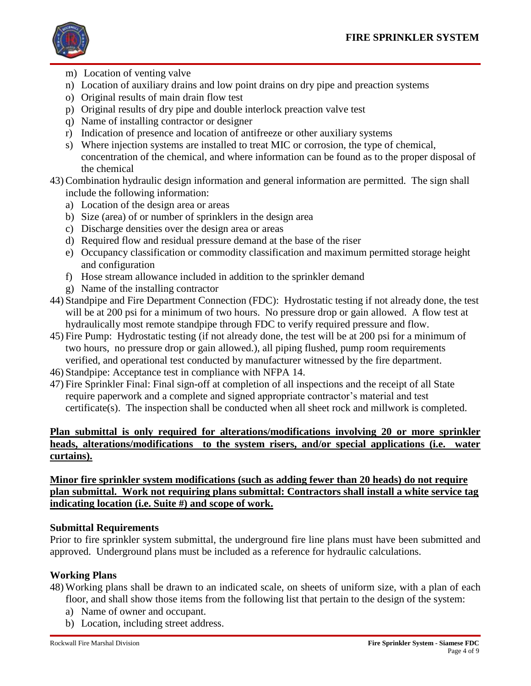

- m) Location of venting valve
- n) Location of auxiliary drains and low point drains on dry pipe and preaction systems
- o) Original results of main drain flow test
- p) Original results of dry pipe and double interlock preaction valve test
- q) Name of installing contractor or designer
- r) Indication of presence and location of antifreeze or other auxiliary systems
- s) Where injection systems are installed to treat MIC or corrosion, the type of chemical, concentration of the chemical, and where information can be found as to the proper disposal of the chemical
- 43) Combination hydraulic design information and general information are permitted. The sign shall include the following information:
	- a) Location of the design area or areas
	- b) Size (area) of or number of sprinklers in the design area
	- c) Discharge densities over the design area or areas
	- d) Required flow and residual pressure demand at the base of the riser
	- e) Occupancy classification or commodity classification and maximum permitted storage height and configuration
	- f) Hose stream allowance included in addition to the sprinkler demand
	- g) Name of the installing contractor
- 44) Standpipe and Fire Department Connection (FDC): Hydrostatic testing if not already done, the test will be at 200 psi for a minimum of two hours. No pressure drop or gain allowed. A flow test at hydraulically most remote standpipe through FDC to verify required pressure and flow.
- 45) Fire Pump: Hydrostatic testing (if not already done, the test will be at 200 psi for a minimum of two hours, no pressure drop or gain allowed.), all piping flushed, pump room requirements verified, and operational test conducted by manufacturer witnessed by the fire department.
- 46) Standpipe: Acceptance test in compliance with NFPA 14.
- 47) Fire Sprinkler Final: Final sign-off at completion of all inspections and the receipt of all State require paperwork and a complete and signed appropriate contractor's material and test certificate(s). The inspection shall be conducted when all sheet rock and millwork is completed.

## **Plan submittal is only required for alterations/modifications involving 20 or more sprinkler heads, alterations/modifications to the system risers, and/or special applications (i.e. water curtains).**

**Minor fire sprinkler system modifications (such as adding fewer than 20 heads) do not require plan submittal. Work not requiring plans submittal: Contractors shall install a white service tag indicating location (i.e. Suite #) and scope of work.**

### **Submittal Requirements**

Prior to fire sprinkler system submittal, the underground fire line plans must have been submitted and approved. Underground plans must be included as a reference for hydraulic calculations.

## **Working Plans**

48) Working plans shall be drawn to an indicated scale, on sheets of uniform size, with a plan of each

- floor, and shall show those items from the following list that pertain to the design of the system:
- a) Name of owner and occupant.
- b) Location, including street address.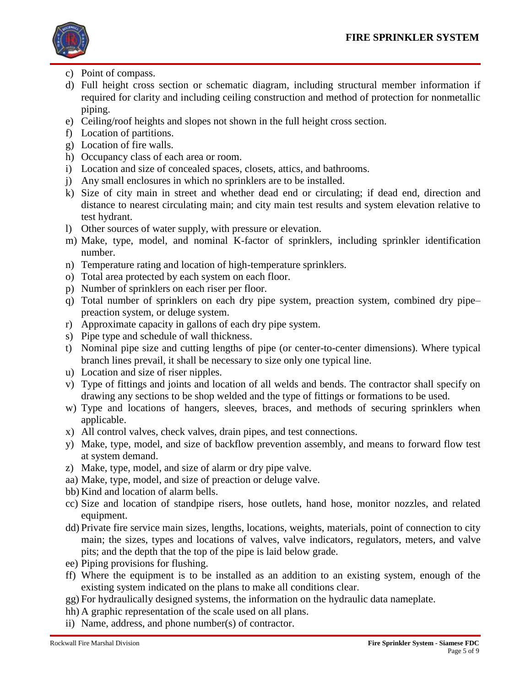

- c) Point of compass.
- d) Full height cross section or schematic diagram, including structural member information if required for clarity and including ceiling construction and method of protection for nonmetallic piping.
- e) Ceiling/roof heights and slopes not shown in the full height cross section.
- f) Location of partitions.
- g) Location of fire walls.
- h) Occupancy class of each area or room.
- i) Location and size of concealed spaces, closets, attics, and bathrooms.
- j) Any small enclosures in which no sprinklers are to be installed.
- k) Size of city main in street and whether dead end or circulating; if dead end, direction and distance to nearest circulating main; and city main test results and system elevation relative to test hydrant.
- l) Other sources of water supply, with pressure or elevation.
- m) Make, type, model, and nominal K-factor of sprinklers, including sprinkler identification number.
- n) Temperature rating and location of high-temperature sprinklers.
- o) Total area protected by each system on each floor.
- p) Number of sprinklers on each riser per floor.
- q) Total number of sprinklers on each dry pipe system, preaction system, combined dry pipe– preaction system, or deluge system.
- r) Approximate capacity in gallons of each dry pipe system.
- s) Pipe type and schedule of wall thickness.
- t) Nominal pipe size and cutting lengths of pipe (or center-to-center dimensions). Where typical branch lines prevail, it shall be necessary to size only one typical line.
- u) Location and size of riser nipples.
- v) Type of fittings and joints and location of all welds and bends. The contractor shall specify on drawing any sections to be shop welded and the type of fittings or formations to be used.
- w) Type and locations of hangers, sleeves, braces, and methods of securing sprinklers when applicable.
- x) All control valves, check valves, drain pipes, and test connections.
- y) Make, type, model, and size of backflow prevention assembly, and means to forward flow test at system demand.
- z) Make, type, model, and size of alarm or dry pipe valve.
- aa) Make, type, model, and size of preaction or deluge valve.
- bb) Kind and location of alarm bells.
- cc) Size and location of standpipe risers, hose outlets, hand hose, monitor nozzles, and related equipment.
- dd) Private fire service main sizes, lengths, locations, weights, materials, point of connection to city main; the sizes, types and locations of valves, valve indicators, regulators, meters, and valve pits; and the depth that the top of the pipe is laid below grade.
- ee) Piping provisions for flushing.
- ff) Where the equipment is to be installed as an addition to an existing system, enough of the existing system indicated on the plans to make all conditions clear.
- gg) For hydraulically designed systems, the information on the hydraulic data nameplate.
- hh) A graphic representation of the scale used on all plans.
- ii) Name, address, and phone number(s) of contractor.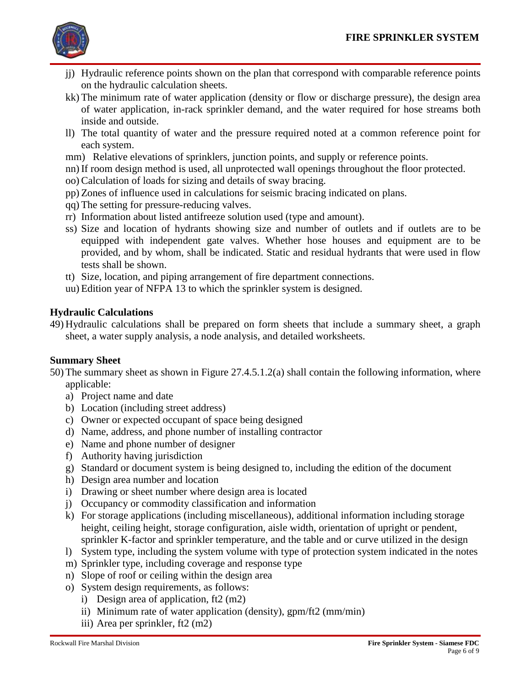

- jj) Hydraulic reference points shown on the plan that correspond with comparable reference points on the hydraulic calculation sheets.
- kk) The minimum rate of water application (density or flow or discharge pressure), the design area of water application, in-rack sprinkler demand, and the water required for hose streams both inside and outside.
- ll) The total quantity of water and the pressure required noted at a common reference point for each system.
- mm) Relative elevations of sprinklers, junction points, and supply or reference points.
- nn) If room design method is used, all unprotected wall openings throughout the floor protected.
- oo) Calculation of loads for sizing and details of sway bracing.
- pp) Zones of influence used in calculations for seismic bracing indicated on plans.
- qq) The setting for pressure-reducing valves.
- rr) Information about listed antifreeze solution used (type and amount).
- ss) Size and location of hydrants showing size and number of outlets and if outlets are to be equipped with independent gate valves. Whether hose houses and equipment are to be provided, and by whom, shall be indicated. Static and residual hydrants that were used in flow tests shall be shown.
- tt) Size, location, and piping arrangement of fire department connections.
- uu) Edition year of NFPA 13 to which the sprinkler system is designed.

## **Hydraulic Calculations**

49) Hydraulic calculations shall be prepared on form sheets that include a summary sheet, a graph sheet, a water supply analysis, a node analysis, and detailed worksheets.

### **Summary Sheet**

50) The summary sheet as shown in Figure 27.4.5.1.2(a) shall contain the following information, where applicable:

- a) Project name and date
- b) Location (including street address)
- c) Owner or expected occupant of space being designed
- d) Name, address, and phone number of installing contractor
- e) Name and phone number of designer
- f) Authority having jurisdiction
- g) Standard or document system is being designed to, including the edition of the document
- h) Design area number and location
- i) Drawing or sheet number where design area is located
- j) Occupancy or commodity classification and information
- k) For storage applications (including miscellaneous), additional information including storage height, ceiling height, storage configuration, aisle width, orientation of upright or pendent, sprinkler K-factor and sprinkler temperature, and the table and or curve utilized in the design
- l) System type, including the system volume with type of protection system indicated in the notes
- m) Sprinkler type, including coverage and response type
- n) Slope of roof or ceiling within the design area
- o) System design requirements, as follows:
	- i) Design area of application, ft2 (m2)
	- ii) Minimum rate of water application (density), gpm/ft2 (mm/min)
	- iii) Area per sprinkler, ft2 (m2)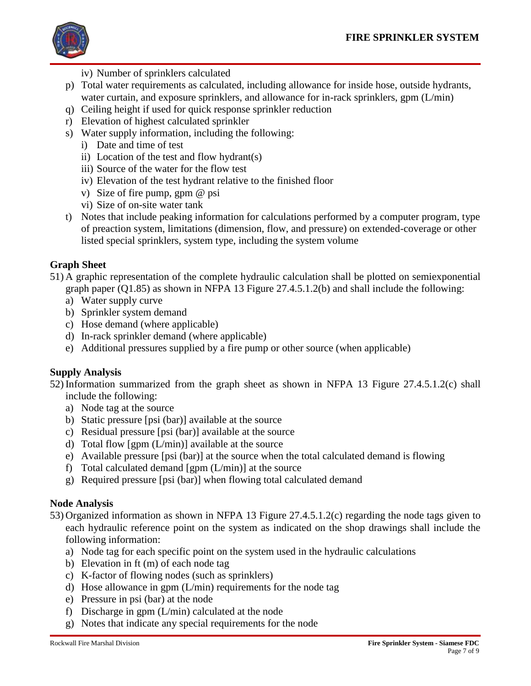

iv) Number of sprinklers calculated

- p) Total water requirements as calculated, including allowance for inside hose, outside hydrants, water curtain, and exposure sprinklers, and allowance for in-rack sprinklers, gpm (L/min)
- q) Ceiling height if used for quick response sprinkler reduction
- r) Elevation of highest calculated sprinkler
- s) Water supply information, including the following:
	- i) Date and time of test
	- ii) Location of the test and flow hydrant(s)
	- iii) Source of the water for the flow test
	- iv) Elevation of the test hydrant relative to the finished floor
	- v) Size of fire pump, gpm @ psi
	- vi) Size of on-site water tank
- t) Notes that include peaking information for calculations performed by a computer program, type of preaction system, limitations (dimension, flow, and pressure) on extended-coverage or other listed special sprinklers, system type, including the system volume

## **Graph Sheet**

- 51) A graphic representation of the complete hydraulic calculation shall be plotted on semiexponential graph paper (Q1.85) as shown in NFPA 13 Figure 27.4.5.1.2(b) and shall include the following:
	- a) Water supply curve
	- b) Sprinkler system demand
	- c) Hose demand (where applicable)
	- d) In-rack sprinkler demand (where applicable)
	- e) Additional pressures supplied by a fire pump or other source (when applicable)

## **Supply Analysis**

52) Information summarized from the graph sheet as shown in NFPA 13 Figure 27.4.5.1.2(c) shall include the following:

- a) Node tag at the source
- b) Static pressure [psi (bar)] available at the source
- c) Residual pressure [psi (bar)] available at the source
- d) Total flow [gpm (L/min)] available at the source
- e) Available pressure [psi (bar)] at the source when the total calculated demand is flowing
- f) Total calculated demand  $[gpm (L/min)]$  at the source
- g) Required pressure [psi (bar)] when flowing total calculated demand

## **Node Analysis**

- 53) Organized information as shown in NFPA 13 Figure 27.4.5.1.2(c) regarding the node tags given to each hydraulic reference point on the system as indicated on the shop drawings shall include the following information:
	- a) Node tag for each specific point on the system used in the hydraulic calculations
	- b) Elevation in ft (m) of each node tag
	- c) K-factor of flowing nodes (such as sprinklers)
	- d) Hose allowance in gpm (L/min) requirements for the node tag
	- e) Pressure in psi (bar) at the node
	- f) Discharge in gpm (L/min) calculated at the node
	- g) Notes that indicate any special requirements for the node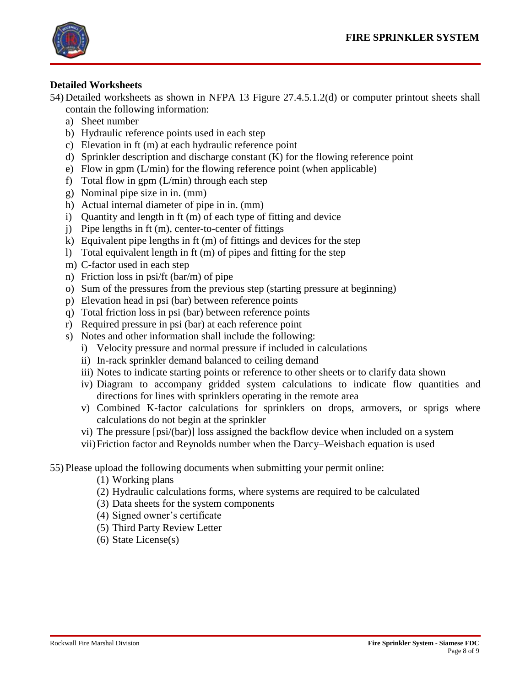

### **Detailed Worksheets**

54) Detailed worksheets as shown in NFPA 13 Figure 27.4.5.1.2(d) or computer printout sheets shall contain the following information:

- a) Sheet number
- b) Hydraulic reference points used in each step
- c) Elevation in ft (m) at each hydraulic reference point
- d) Sprinkler description and discharge constant (K) for the flowing reference point
- e) Flow in gpm (L/min) for the flowing reference point (when applicable)
- f) Total flow in gpm (L/min) through each step
- g) Nominal pipe size in in. (mm)
- h) Actual internal diameter of pipe in in. (mm)
- i) Quantity and length in ft (m) of each type of fitting and device
- j) Pipe lengths in ft (m), center-to-center of fittings
- k) Equivalent pipe lengths in ft (m) of fittings and devices for the step
- l) Total equivalent length in ft (m) of pipes and fitting for the step
- m) C-factor used in each step
- n) Friction loss in psi/ft (bar/m) of pipe
- o) Sum of the pressures from the previous step (starting pressure at beginning)
- p) Elevation head in psi (bar) between reference points
- q) Total friction loss in psi (bar) between reference points
- r) Required pressure in psi (bar) at each reference point
- s) Notes and other information shall include the following:
	- i) Velocity pressure and normal pressure if included in calculations
	- ii) In-rack sprinkler demand balanced to ceiling demand
	- iii) Notes to indicate starting points or reference to other sheets or to clarify data shown
	- iv) Diagram to accompany gridded system calculations to indicate flow quantities and directions for lines with sprinklers operating in the remote area
	- v) Combined K-factor calculations for sprinklers on drops, armovers, or sprigs where calculations do not begin at the sprinkler
	- vi) The pressure [psi/(bar)] loss assigned the backflow device when included on a system
	- vii)Friction factor and Reynolds number when the Darcy–Weisbach equation is used

### 55) Please upload the following documents when submitting your permit online:

- (1) Working plans
- (2) Hydraulic calculations forms, where systems are required to be calculated
- (3) Data sheets for the system components
- (4) Signed owner's certificate
- (5) Third Party Review Letter
- (6) State License(s)